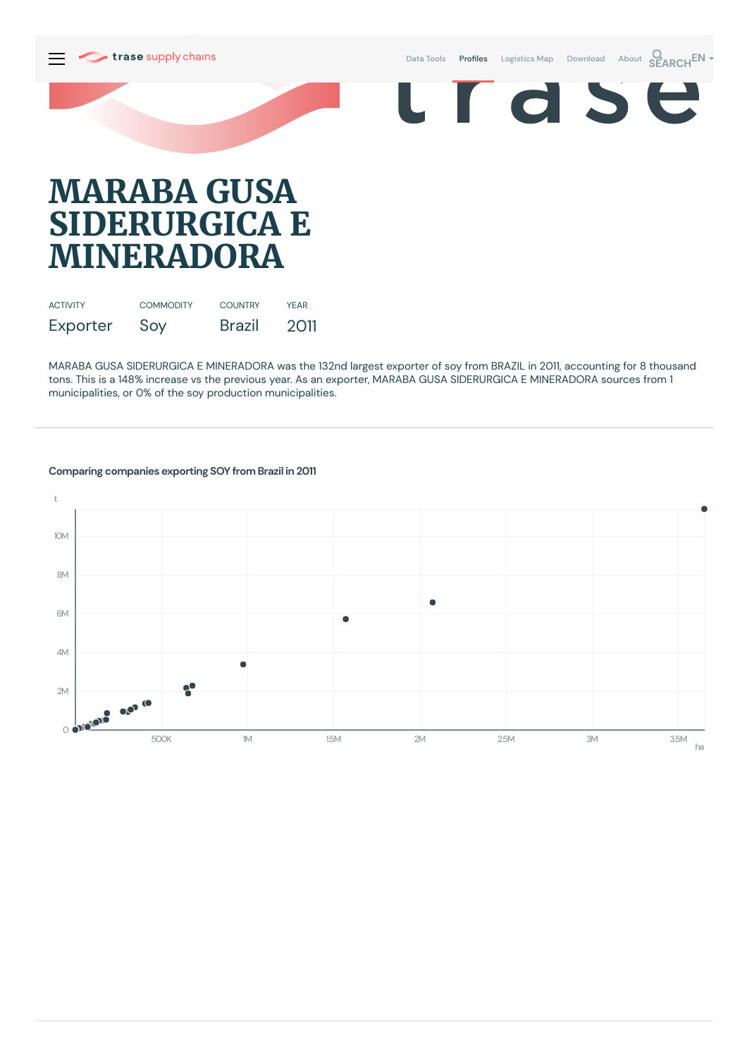

# **MARABA GUSA SIDERURGICA E MINERADORA**

| <b>ACTIVITY</b> | <b>COMMODITY</b> | <b>COUNTRY</b> | <b>YFAR</b> |
|-----------------|------------------|----------------|-------------|
| Exporter        | Soy              | <b>Brazil</b>  | 2011        |

MARABA GUSA SIDERURGICA E MINERADORA was the 132nd largest exporter of soy from BRAZIL in 2011, accounting for 8 thousand tons. This is a 148% increase vs the previous year. As an exporter, MARABA GUSA SIDERURGICA E MINERADORA sources from 1 municipalities, or 0% of the soy production municipalities.



### **Comparing companies exporting SOY from Brazil in 2011**